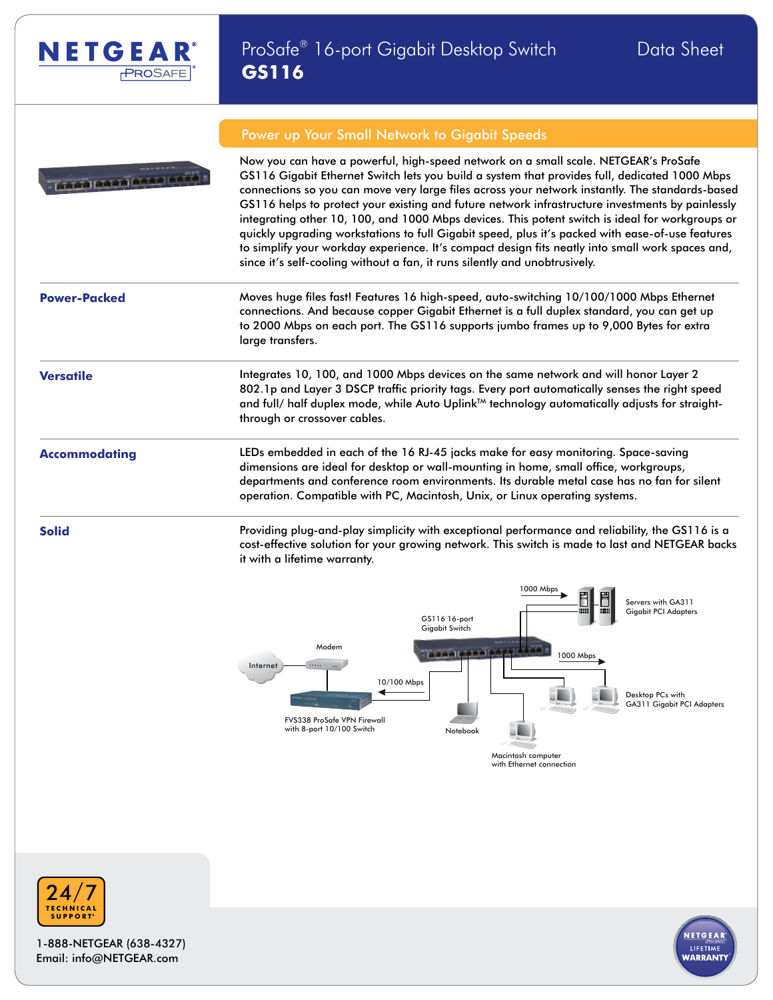



### Power up Your Small Network to Gigabit Speeds

Now you can have a powerful, high-speed network on a small scale. NETGEAR's ProSafe GS116 Gigabit Ethernet Switch lets you build a system that provides full, dedicated 1000 Mbps connections so you can move very large files across your network instantly. The standards-based GS116 helps to protect your existing and future network infrastructure investments by painlessly integrating other 10, 100, and 1000 Mbps devices. This potent switch is ideal for workgroups or quickly upgrading workstations to full Gigabit speed, plus it's packed with ease-of-use features to simplify your workday experience. It's compact design fits neatly into small work spaces and, since it's self-cooling without a fan, it runs silently and unobtrusively.

**Power-Packed** Moves huge files fast! Features 16 high-speed, auto-switching 10/100/1000 Mbps Ethernet connections. And because copper Gigabit Ethernet is a full duplex standard, you can get up to 2000 Mbps on each port. The GS116 supports jumbo frames up to 9,000 Bytes for extra large transfers.

**Versatile Integrates 10, 100, and 1000 Mbps devices on the same network and will honor Layer 2** 802.1p and Layer 3 DSCP traffic priority tags. Every port automatically senses the right speed and full/ half duplex mode, while Auto Uplink<sup>TM</sup> technology automatically adjusts for straightthrough or crossover cables.

**Accommodating** LEDs embedded in each of the 16 RJ-45 jacks make for easy monitoring. Space-saving dimensions are ideal for desktop or wall-mounting in home, small office, workgroups, departments and conference room environments. Its durable metal case has no fan for silent operation. Compatible with PC, Macintosh, Unix, or Linux operating systems.

**Solid Example 20 Solid** Providing plug-and-play simplicity with exceptional performance and reliability, the GS116 is a cost-effective solution for your growing network. This switch is made to last and NETGEAR backs it with a lifetime warranty.





1-888-NETGEAR (638-4327) Email: info@NETGEAR.com